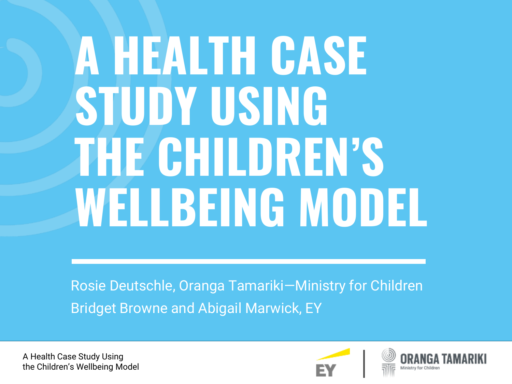# **A HEALTH CASE STUDY USING THE CHILDREN'S WELLBEING MODEL**

Rosie Deutschle, Oranga Tamariki—Ministry for Children Bridget Browne and Abigail Marwick, EY

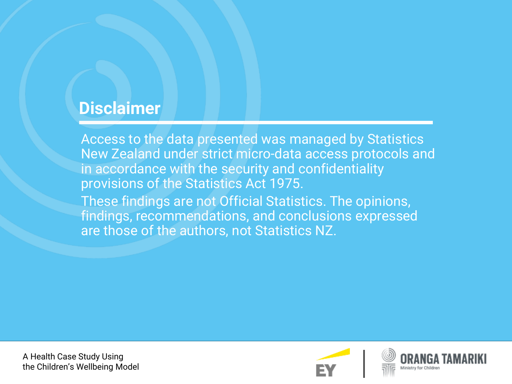#### **Disclaimer**

Access to the data presented was managed by Statistics New Zealand under strict micro-data access protocols and in accordance with the security and confidentiality provisions of the Statistics Act 1975. These findings are not Official Statistics. The opinions, findings, recommendations, and conclusions expressed are those of the authors, not Statistics NZ.

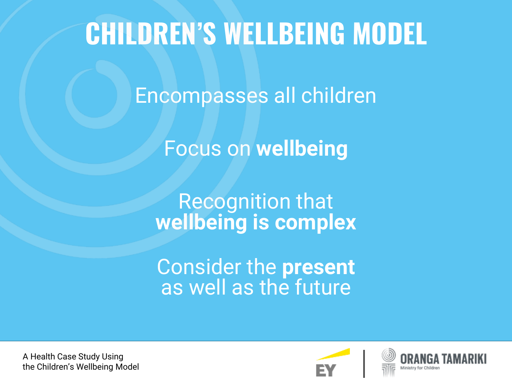### **CHILDREN'S WELLBEING MODEL**

Encompasses all children

Focus on **wellbeing**

Recognition that **wellbeing is complex**

Consider the **present** as well as the future

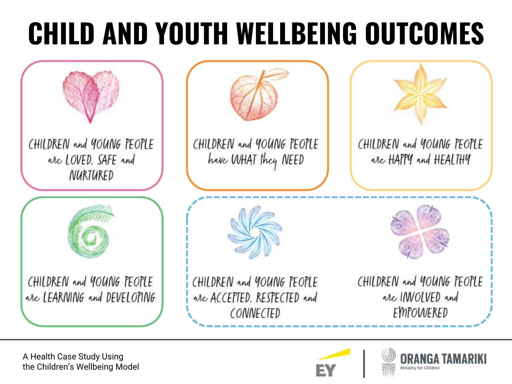## **CHILD AND YOUTH WELLBEING OUTCOMES**



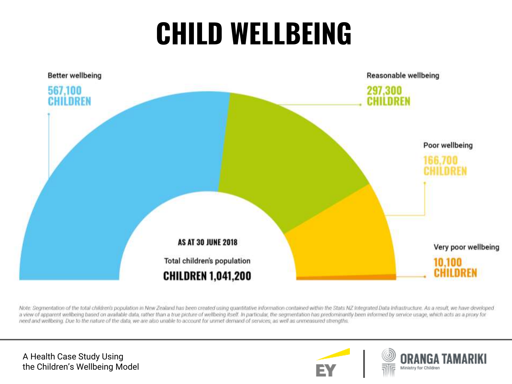## **CHILD WELLBEING**



Note: Segmentation of the total children's population in New Zealand has been created using quantitative information contained within the Stats NZ Integrated Data Infrastructure. As a result, we have developed a view of apparent wellbeing based on available data, rather than a true picture of wellbeing itself. In particular, the segmentation has predominantly been informed by service usage, which acts as a proxy for need and wellbeing. Due to the nature of the data, we are also unable to account for unmet demand of services, as well as unmeasured strengths.



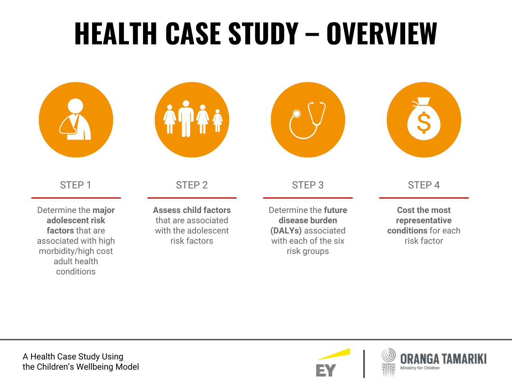## **HEALTH CASE STUDY – OVERVIEW**



STEP 1

Determine the **major adolescent risk factors** that are associated with high morbidity/high cost adult health conditions



STEP 2

**Assess child factors**  that are associated with the adolescent risk factors



STEP 3

Determine the **future disease burden (DALYs)** associated with each of the six risk groups



STEP 4

**Cost the most representative conditions** for each risk factor

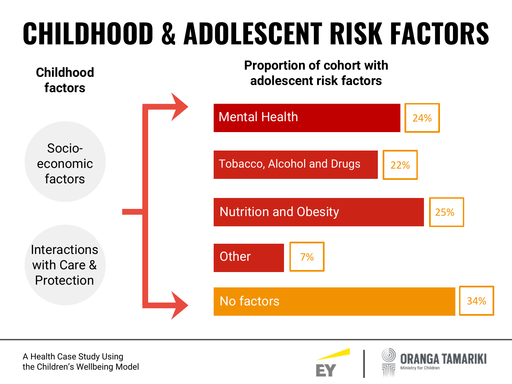## **CHILDHOOD & ADOLESCENT RISK FACTORS**



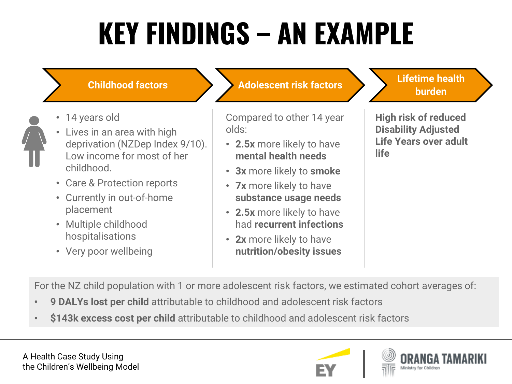## **KEY FINDINGS – AN EXAMPLE**

- 14 years old
- 
- Lives in an area with high deprivation (NZDep Index 9/10). Low income for most of her childhood.
- Care & Protection reports
- Currently in out-of-home placement
- Multiple childhood hospitalisations
- Very poor wellbeing

#### **Adolescent risk factors Lifetime health burden burden burden burden burden burden burden burden**

Compared to other 14 year olds:

- **2.5x** more likely to have **mental health needs**
- **3x** more likely to **smoke**
- **7x** more likely to have **substance usage needs**
- **2.5x** more likely to have had **recurrent infections**
- **2x** more likely to have **nutrition/obesity issues**

**High risk of reduced Disability Adjusted Life Years over adult life**

For the NZ child population with 1 or more adolescent risk factors, we estimated cohort averages of:

- **9 DALYs lost per child** attributable to childhood and adolescent risk factors
- **\$143k excess cost per child** attributable to childhood and adolescent risk factors

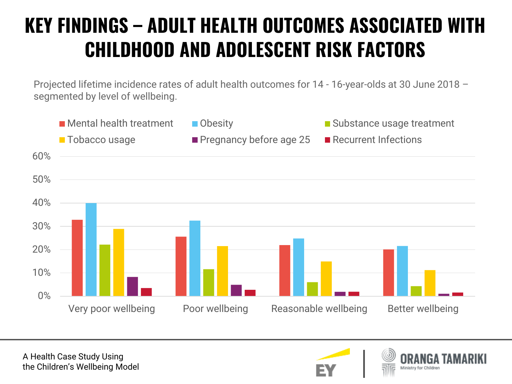#### **KEY FINDINGS – ADULT HEALTH OUTCOMES ASSOCIATED WITH CHILDHOOD AND ADOLESCENT RISK FACTORS**

Projected lifetime incidence rates of adult health outcomes for 14 - 16-year-olds at 30 June 2018 – segmented by level of wellbeing.





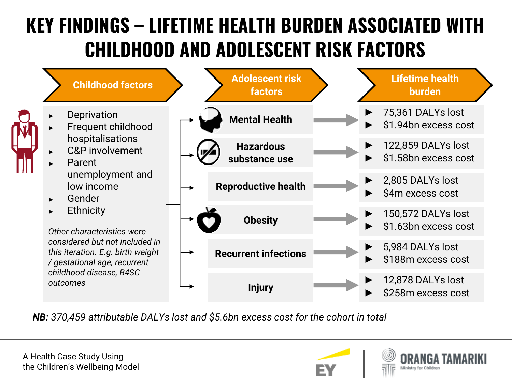#### **KEY FINDINGS – LIFETIME HEALTH BURDEN ASSOCIATED WITH CHILDHOOD AND ADOLESCENT RISK FACTORS**



*NB: 370,459 attributable DALYs lost and \$5.6bn excess cost for the cohort in total*